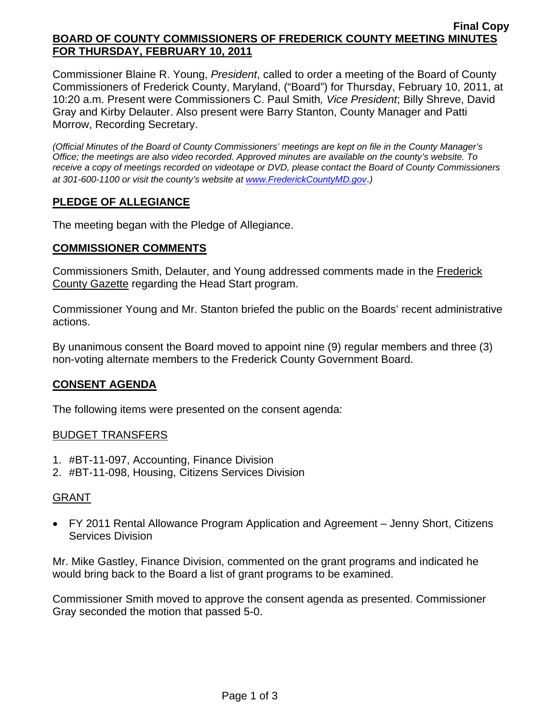#### **Final Copy BOARD OF COUNTY COMMISSIONERS OF FREDERICK COUNTY MEETING MINUTES FOR THURSDAY, FEBRUARY 10, 2011**

Commissioner Blaine R. Young, *President*, called to order a meeting of the Board of County Commissioners of Frederick County, Maryland, ("Board") for Thursday, February 10, 2011, at 10:20 a.m. Present were Commissioners C. Paul Smith*, Vice President*; Billy Shreve, David Gray and Kirby Delauter. Also present were Barry Stanton, County Manager and Patti Morrow, Recording Secretary.

*(Official Minutes of the Board of County Commissioners' meetings are kept on file in the County Manager's Office; the meetings are also video recorded. Approved minutes are available on the county's website. To receive a copy of meetings recorded on videotape or DVD, please contact the Board of County Commissioners at 301-600-1100 or visit the county's website at [www.FrederickCountyMD.gov](http://www.frederickcountymd.gov/)*.*)* 

# **PLEDGE OF ALLEGIANCE**

The meeting began with the Pledge of Allegiance.

## **COMMISSIONER COMMENTS**

Commissioners Smith, Delauter, and Young addressed comments made in the Frederick County Gazette regarding the Head Start program.

Commissioner Young and Mr. Stanton briefed the public on the Boards' recent administrative actions.

By unanimous consent the Board moved to appoint nine (9) regular members and three (3) non-voting alternate members to the Frederick County Government Board.

## **CONSENT AGENDA**

The following items were presented on the consent agenda:

## BUDGET TRANSFERS

- 1. #BT-11-097, Accounting, Finance Division
- 2. #BT-11-098, Housing, Citizens Services Division

## GRANT

• FY 2011 Rental Allowance Program Application and Agreement – Jenny Short, Citizens Services Division

Mr. Mike Gastley, Finance Division, commented on the grant programs and indicated he would bring back to the Board a list of grant programs to be examined.

Commissioner Smith moved to approve the consent agenda as presented. Commissioner Gray seconded the motion that passed 5-0.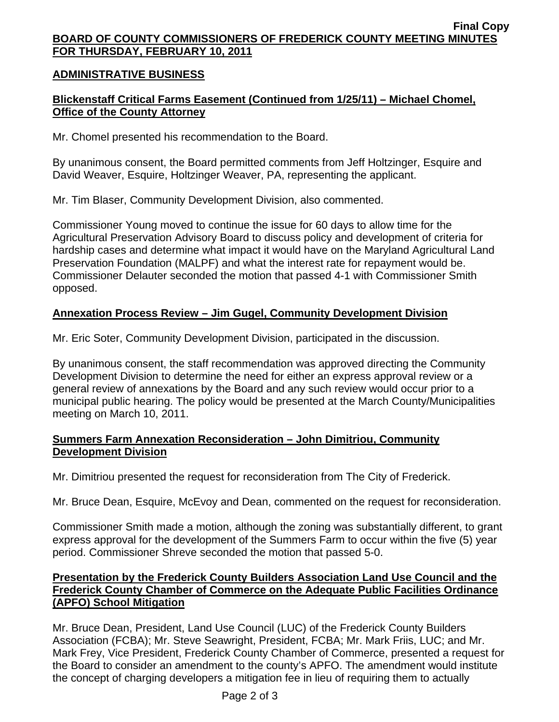#### **Final Copy BOARD OF COUNTY COMMISSIONERS OF FREDERICK COUNTY MEETING MINUTES FOR THURSDAY, FEBRUARY 10, 2011**

## **ADMINISTRATIVE BUSINESS**

# **Blickenstaff Critical Farms Easement (Continued from 1/25/11) – Michael Chomel, Office of the County Attorney**

Mr. Chomel presented his recommendation to the Board.

By unanimous consent, the Board permitted comments from Jeff Holtzinger, Esquire and David Weaver, Esquire, Holtzinger Weaver, PA, representing the applicant.

Mr. Tim Blaser, Community Development Division, also commented.

Commissioner Young moved to continue the issue for 60 days to allow time for the Agricultural Preservation Advisory Board to discuss policy and development of criteria for hardship cases and determine what impact it would have on the Maryland Agricultural Land Preservation Foundation (MALPF) and what the interest rate for repayment would be. Commissioner Delauter seconded the motion that passed 4-1 with Commissioner Smith opposed.

## **Annexation Process Review – Jim Gugel, Community Development Division**

Mr. Eric Soter, Community Development Division, participated in the discussion.

By unanimous consent, the staff recommendation was approved directing the Community Development Division to determine the need for either an express approval review or a general review of annexations by the Board and any such review would occur prior to a municipal public hearing. The policy would be presented at the March County/Municipalities meeting on March 10, 2011.

## **Summers Farm Annexation Reconsideration – John Dimitriou, Community Development Division**

Mr. Dimitriou presented the request for reconsideration from The City of Frederick.

Mr. Bruce Dean, Esquire, McEvoy and Dean, commented on the request for reconsideration.

Commissioner Smith made a motion, although the zoning was substantially different, to grant express approval for the development of the Summers Farm to occur within the five (5) year period. Commissioner Shreve seconded the motion that passed 5-0.

## **Presentation by the Frederick County Builders Association Land Use Council and the Frederick County Chamber of Commerce on the Adequate Public Facilities Ordinance (APFO) School Mitigation**

Mr. Bruce Dean, President, Land Use Council (LUC) of the Frederick County Builders Association (FCBA); Mr. Steve Seawright, President, FCBA; Mr. Mark Friis, LUC; and Mr. Mark Frey, Vice President, Frederick County Chamber of Commerce, presented a request for the Board to consider an amendment to the county's APFO. The amendment would institute the concept of charging developers a mitigation fee in lieu of requiring them to actually